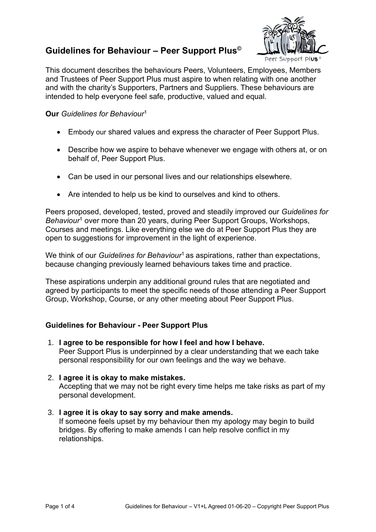# **Guidelines for Behaviour – Peer Support Plus©**



Peer Support

This document describes the behaviours Peers, Volunteers, Employees, Members and Trustees of Peer Support Plus must aspire to when relating with one another and with the charity's Supporters, Partners and Suppliers. These behaviours are intended to help everyone feel safe, productive, valued and equal.

#### **Our** *Guidelines for Behaviour*<sup>1</sup>

- Embody our shared values and express the character of Peer Support Plus.
- Describe how we aspire to behave whenever we engage with others at, or on behalf of, Peer Support Plus.
- Can be used in our personal lives and our relationships elsewhere.
- Are intended to help us be kind to ourselves and kind to others.

Peers proposed, developed, tested, proved and steadily improved our *Guidelines for Behaviour*<sup>1</sup> over more than 20 years, during Peer Support Groups, Workshops, Courses and meetings. Like everything else we do at Peer Support Plus they are open to suggestions for improvement in the light of experience.

We think of our *Guidelines for Behaviour*<sup>1</sup> as aspirations, rather than expectations, because changing previously learned behaviours takes time and practice.

These aspirations underpin any additional ground rules that are negotiated and agreed by participants to meet the specific needs of those attending a Peer Support Group, Workshop, Course, or any other meeting about Peer Support Plus.

## **Guidelines for Behaviour - Peer Support Plus**

- 1. **I agree to be responsible for how I feel and how I behave.** Peer Support Plus is underpinned by a clear understanding that we each take personal responsibility for our own feelings and the way we behave.
- 2. **I agree it is okay to make mistakes.** Accepting that we may not be right every time helps me take risks as part of my personal development.

## 3. **I agree it is okay to say sorry and make amends.** If someone feels upset by my behaviour then my apology may begin to build bridges. By offering to make amends I can help resolve conflict in my relationships.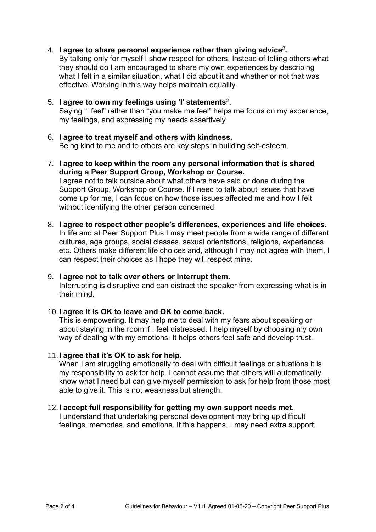4. **I agree to share personal experience rather than giving advice**<sup>2</sup> **.**

By talking only for myself I show respect for others. Instead of telling others what they should do I am encouraged to share my own experiences by describing what I felt in a similar situation, what I did about it and whether or not that was effective. Working in this way helps maintain equality.

## 5. **I agree to own my feelings using 'I' statements**<sup>2</sup> **.**

Saying "I feel" rather than "you make me feel" helps me focus on my experience, my feelings, and expressing my needs assertively.

- 6. **I agree to treat myself and others with kindness.** Being kind to me and to others are key steps in building self-esteem.
- 7. **I agree to keep within the room any personal information that is shared during a Peer Support Group, Workshop or Course.**

I agree not to talk outside about what others have said or done during the Support Group, Workshop or Course. If I need to talk about issues that have come up for me, I can focus on how those issues affected me and how I felt without identifying the other person concerned.

8. **I agree to respect other people's differences, experiences and life choices.** In life and at Peer Support Plus I may meet people from a wide range of different cultures, age groups, social classes, sexual orientations, religions, experiences etc. Others make different life choices and, although I may not agree with them, I can respect their choices as I hope they will respect mine.

## 9. **I agree not to talk over others or interrupt them.**

Interrupting is disruptive and can distract the speaker from expressing what is in their mind.

#### 10.**I agree it is OK to leave and OK to come back.**

This is empowering. It may help me to deal with my fears about speaking or about staying in the room if I feel distressed. I help myself by choosing my own way of dealing with my emotions. It helps others feel safe and develop trust.

#### 11.**I agree that it's OK to ask for help.**

When I am struggling emotionally to deal with difficult feelings or situations it is my responsibility to ask for help. I cannot assume that others will automatically know what I need but can give myself permission to ask for help from those most able to give it. This is not weakness but strength.

## 12.**I accept full responsibility for getting my own support needs met.**

I understand that undertaking personal development may bring up difficult feelings, memories, and emotions. If this happens, I may need extra support.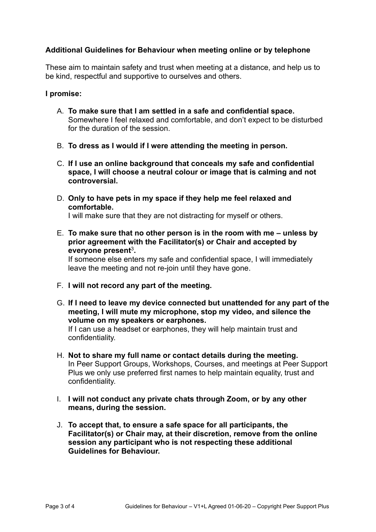## **Additional Guidelines for Behaviour when meeting online or by telephone**

These aim to maintain safety and trust when meeting at a distance, and help us to be kind, respectful and supportive to ourselves and others.

### **I promise:**

- A. **To make sure that I am settled in a safe and confidential space.** Somewhere I feel relaxed and comfortable, and don't expect to be disturbed for the duration of the session.
- B. **To dress as I would if I were attending the meeting in person.**
- C. **If I use an online background that conceals my safe and confidential space, I will choose a neutral colour or image that is calming and not controversial.**
- D. **Only to have pets in my space if they help me feel relaxed and comfortable.**

I will make sure that they are not distracting for myself or others.

E. **To make sure that no other person is in the room with me – unless by prior agreement with the Facilitator(s) or Chair and accepted by everyone present**<sup>3</sup> **.**

If someone else enters my safe and confidential space, I will immediately leave the meeting and not re-join until they have gone.

- F. **I will not record any part of the meeting.**
- G. **If I need to leave my device connected but unattended for any part of the meeting, I will mute my microphone, stop my video, and silence the volume on my speakers or earphones.**

If I can use a headset or earphones, they will help maintain trust and confidentiality.

- H. **Not to share my full name or contact details during the meeting.** In Peer Support Groups, Workshops, Courses, and meetings at Peer Support Plus we only use preferred first names to help maintain equality, trust and confidentiality.
- I. **I will not conduct any private chats through Zoom, or by any other means, during the session.**
- J. **To accept that, to ensure a safe space for all participants, the Facilitator(s) or Chair may, at their discretion, remove from the online session any participant who is not respecting these additional Guidelines for Behaviour.**